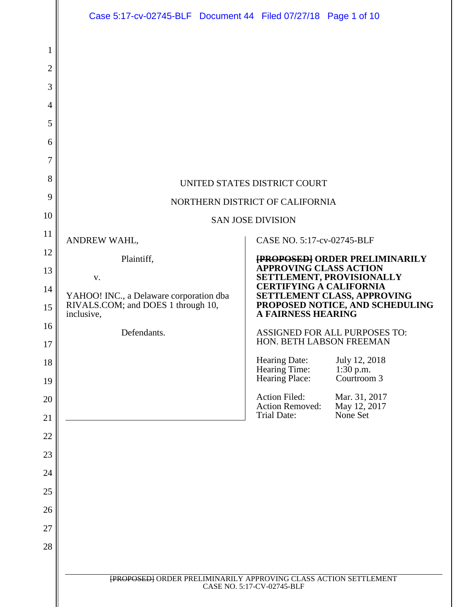|                | Case 5:17-cv-02745-BLF  Document 44  Filed 07/27/18  Page 1 of 10                            |                                                                 |                                                                |
|----------------|----------------------------------------------------------------------------------------------|-----------------------------------------------------------------|----------------------------------------------------------------|
| 1              |                                                                                              |                                                                 |                                                                |
| $\overline{2}$ |                                                                                              |                                                                 |                                                                |
| 3              |                                                                                              |                                                                 |                                                                |
| $\overline{4}$ |                                                                                              |                                                                 |                                                                |
| 5              |                                                                                              |                                                                 |                                                                |
| 6              |                                                                                              |                                                                 |                                                                |
| 7              |                                                                                              |                                                                 |                                                                |
| 8              | UNITED STATES DISTRICT COURT                                                                 |                                                                 |                                                                |
| 9              | NORTHERN DISTRICT OF CALIFORNIA                                                              |                                                                 |                                                                |
| 10             | <b>SAN JOSE DIVISION</b>                                                                     |                                                                 |                                                                |
| 11             | ANDREW WAHL,                                                                                 | CASE NO. 5:17-cv-02745-BLF                                      |                                                                |
| 12             | Plaintiff,                                                                                   |                                                                 | [PROPOSED] ORDER PRELIMINARILY                                 |
| 13             | V.                                                                                           | <b>APPROVING CLASS ACTION</b><br><b>CERTIFYING A CALIFORNIA</b> | SETTLEMENT, PROVISIONALLY                                      |
| 14<br>15       | YAHOO! INC., a Delaware corporation dba<br>RIVALS.COM; and DOES 1 through 10,<br>inclusive,  | <b>A FAIRNESS HEARING</b>                                       | SETTLEMENT CLASS, APPROVING<br>PROPOSED NOTICE, AND SCHEDULING |
| 16             | Defendants.                                                                                  |                                                                 | ASSIGNED FOR ALL PURPOSES TO:                                  |
| $17\,$         |                                                                                              | HON. BETH LABSON FREEMAN                                        |                                                                |
| 18<br>19       |                                                                                              | Hearing Date:<br>Hearing Time:<br>Hearing Place:                | July 12, 2018<br>$1:30$ p.m.<br>Courtroom 3                    |
| 20             |                                                                                              | Action Filed:                                                   | Mar. 31, 2017                                                  |
| 21             |                                                                                              | <b>Action Removed:</b><br><b>Trial Date:</b>                    | May 12, 2017<br>None Set                                       |
| 22             |                                                                                              |                                                                 |                                                                |
| 23             |                                                                                              |                                                                 |                                                                |
| 24             |                                                                                              |                                                                 |                                                                |
| 25             |                                                                                              |                                                                 |                                                                |
| 26             |                                                                                              |                                                                 |                                                                |
| 27             |                                                                                              |                                                                 |                                                                |
| 28             |                                                                                              |                                                                 |                                                                |
|                |                                                                                              |                                                                 |                                                                |
|                | FROPOSED ORDER PRELIMINARILY APPROVING CLASS ACTION SETTLEMENT<br>CASE NO. 5:17-CV-02745-BLF |                                                                 |                                                                |
|                |                                                                                              |                                                                 |                                                                |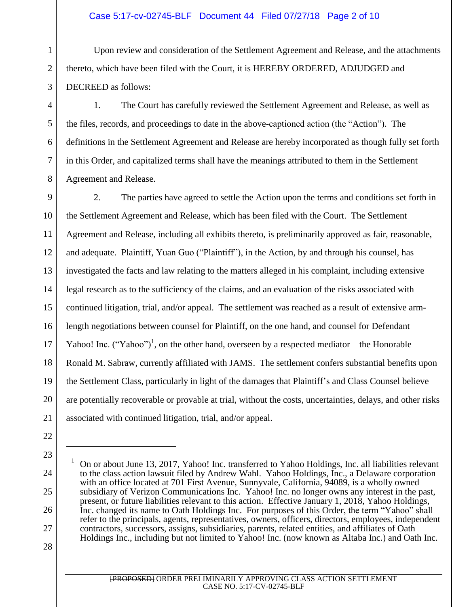# Case 5:17-cv-02745-BLF Document 44 Filed 07/27/18 Page 2 of 10

Upon review and consideration of the Settlement Agreement and Release, and the attachments thereto, which have been filed with the Court, it is HEREBY ORDERED, ADJUDGED and DECREED as follows:

1. The Court has carefully reviewed the Settlement Agreement and Release, as well as the files, records, and proceedings to date in the above-captioned action (the "Action"). The definitions in the Settlement Agreement and Release are hereby incorporated as though fully set forth in this Order, and capitalized terms shall have the meanings attributed to them in the Settlement Agreement and Release.

9 10 11 12 13 14 15 16 17 18 19 20 21 2. The parties have agreed to settle the Action upon the terms and conditions set forth in the Settlement Agreement and Release, which has been filed with the Court. The Settlement Agreement and Release, including all exhibits thereto, is preliminarily approved as fair, reasonable, and adequate. Plaintiff, Yuan Guo ("Plaintiff"), in the Action, by and through his counsel, has investigated the facts and law relating to the matters alleged in his complaint, including extensive legal research as to the sufficiency of the claims, and an evaluation of the risks associated with continued litigation, trial, and/or appeal. The settlement was reached as a result of extensive armlength negotiations between counsel for Plaintiff, on the one hand, and counsel for Defendant Yahoo! Inc.  $("Yahoo")^1$ , on the other hand, overseen by a respected mediator—the Honorable Ronald M. Sabraw, currently affiliated with JAMS. The settlement confers substantial benefits upon the Settlement Class, particularly in light of the damages that Plaintiff's and Class Counsel believe are potentially recoverable or provable at trial, without the costs, uncertainties, delays, and other risks associated with continued litigation, trial, and/or appeal.

 $\overline{a}$ 

24

25

26

27

28

1

2

3

4

5

6

7

8

[PROPOSED] ORDER PRELIMINARILY APPROVING CLASS ACTION SETTLEMENT CASE NO. 5:17-CV-02745-BLF

<sup>22</sup> 23

<sup>1</sup> On or about June 13, 2017, Yahoo! Inc. transferred to Yahoo Holdings, Inc. all liabilities relevant to the class action lawsuit filed by Andrew Wahl. Yahoo Holdings, Inc., a Delaware corporation with an office located at 701 First Avenue, Sunnyvale, California, 94089, is a wholly owned subsidiary of Verizon Communications Inc. Yahoo! Inc. no longer owns any interest in the past, present, or future liabilities relevant to this action. Effective January 1, 2018, Yahoo Holdings, Inc. changed its name to Oath Holdings Inc. For purposes of this Order, the term "Yahoo" shall refer to the principals, agents, representatives, owners, officers, directors, employees, independent contractors, successors, assigns, subsidiaries, parents, related entities, and affiliates of Oath Holdings Inc., including but not limited to Yahoo! Inc. (now known as Altaba Inc.) and Oath Inc.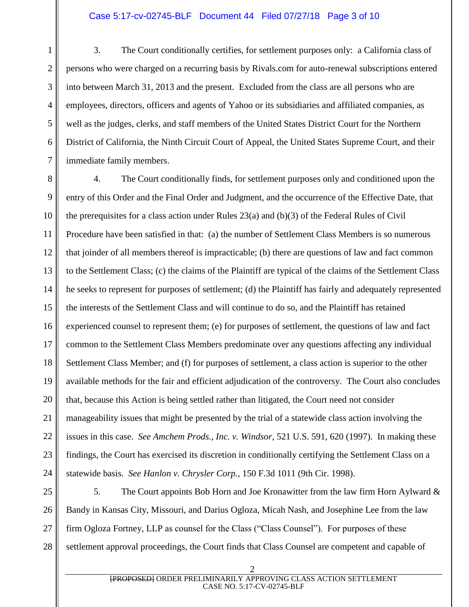### Case 5:17-cv-02745-BLF Document 44 Filed 07/27/18 Page 3 of 10

1

2

3

4

6

7

5 3. The Court conditionally certifies, for settlement purposes only: a California class of persons who were charged on a recurring basis by Rivals.com for auto-renewal subscriptions entered into between March 31, 2013 and the present. Excluded from the class are all persons who are employees, directors, officers and agents of Yahoo or its subsidiaries and affiliated companies, as well as the judges, clerks, and staff members of the United States District Court for the Northern District of California, the Ninth Circuit Court of Appeal, the United States Supreme Court, and their immediate family members.

8 9 10 11 12 13 14 15 16 17 18 19 20 21 22 23 24 4. The Court conditionally finds, for settlement purposes only and conditioned upon the entry of this Order and the Final Order and Judgment, and the occurrence of the Effective Date, that the prerequisites for a class action under Rules  $23(a)$  and (b)(3) of the Federal Rules of Civil Procedure have been satisfied in that: (a) the number of Settlement Class Members is so numerous that joinder of all members thereof is impracticable; (b) there are questions of law and fact common to the Settlement Class; (c) the claims of the Plaintiff are typical of the claims of the Settlement Class he seeks to represent for purposes of settlement; (d) the Plaintiff has fairly and adequately represented the interests of the Settlement Class and will continue to do so, and the Plaintiff has retained experienced counsel to represent them; (e) for purposes of settlement, the questions of law and fact common to the Settlement Class Members predominate over any questions affecting any individual Settlement Class Member; and (f) for purposes of settlement, a class action is superior to the other available methods for the fair and efficient adjudication of the controversy. The Court also concludes that, because this Action is being settled rather than litigated, the Court need not consider manageability issues that might be presented by the trial of a statewide class action involving the issues in this case. *See Amchem Prods.*, *Inc. v. Windsor*, 521 U.S. 591, 620 (1997). In making these findings, the Court has exercised its discretion in conditionally certifying the Settlement Class on a statewide basis. *See Hanlon v. Chrysler Corp.*, 150 F.3d 1011 (9th Cir. 1998).

25 26 27 28 5. The Court appoints Bob Horn and Joe Kronawitter from the law firm Horn Aylward & Bandy in Kansas City, Missouri, and Darius Ogloza, Micah Nash, and Josephine Lee from the law firm Ogloza Fortney, LLP as counsel for the Class ("Class Counsel"). For purposes of these settlement approval proceedings, the Court finds that Class Counsel are competent and capable of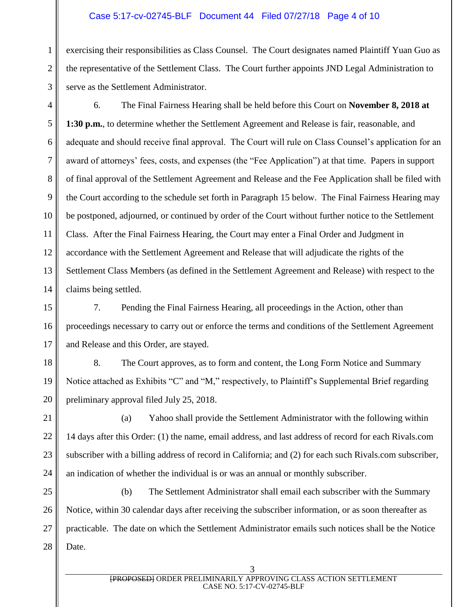## Case 5:17-cv-02745-BLF Document 44 Filed 07/27/18 Page 4 of 10

exercising their responsibilities as Class Counsel. The Court designates named Plaintiff Yuan Guo as the representative of the Settlement Class. The Court further appoints JND Legal Administration to serve as the Settlement Administrator.

12 13 6. The Final Fairness Hearing shall be held before this Court on **November 8, 2018 at 1:30 p.m.**, to determine whether the Settlement Agreement and Release is fair, reasonable, and adequate and should receive final approval. The Court will rule on Class Counsel's application for an award of attorneys' fees, costs, and expenses (the "Fee Application") at that time. Papers in support of final approval of the Settlement Agreement and Release and the Fee Application shall be filed with the Court according to the schedule set forth in Paragraph 15 below. The Final Fairness Hearing may be postponed, adjourned, or continued by order of the Court without further notice to the Settlement Class. After the Final Fairness Hearing, the Court may enter a Final Order and Judgment in accordance with the Settlement Agreement and Release that will adjudicate the rights of the Settlement Class Members (as defined in the Settlement Agreement and Release) with respect to the claims being settled.

16 17 7. Pending the Final Fairness Hearing, all proceedings in the Action, other than proceedings necessary to carry out or enforce the terms and conditions of the Settlement Agreement and Release and this Order, are stayed.

20 8. The Court approves, as to form and content, the Long Form Notice and Summary Notice attached as Exhibits "C" and "M," respectively, to Plaintiff's Supplemental Brief regarding preliminary approval filed July 25, 2018.

21 22 23 24 (a) Yahoo shall provide the Settlement Administrator with the following within 14 days after this Order: (1) the name, email address, and last address of record for each Rivals.com subscriber with a billing address of record in California; and (2) for each such Rivals.com subscriber, an indication of whether the individual is or was an annual or monthly subscriber.

25 26 27 (b) The Settlement Administrator shall email each subscriber with the Summary Notice, within 30 calendar days after receiving the subscriber information, or as soon thereafter as practicable. The date on which the Settlement Administrator emails such notices shall be the Notice Date.

14

15

18

19

1

28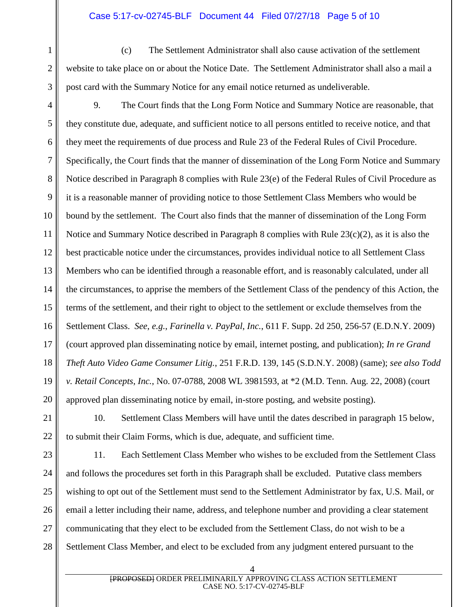#### Case 5:17-cv-02745-BLF Document 44 Filed 07/27/18 Page 5 of 10

(c) The Settlement Administrator shall also cause activation of the settlement website to take place on or about the Notice Date. The Settlement Administrator shall also a mail a post card with the Summary Notice for any email notice returned as undeliverable.

1

2

3

4 5 6 7 8 9 10 11 12 13 14 15 16 17 18 19 20 9. The Court finds that the Long Form Notice and Summary Notice are reasonable, that they constitute due, adequate, and sufficient notice to all persons entitled to receive notice, and that they meet the requirements of due process and Rule 23 of the Federal Rules of Civil Procedure. Specifically, the Court finds that the manner of dissemination of the Long Form Notice and Summary Notice described in Paragraph 8 complies with Rule 23(e) of the Federal Rules of Civil Procedure as it is a reasonable manner of providing notice to those Settlement Class Members who would be bound by the settlement. The Court also finds that the manner of dissemination of the Long Form Notice and Summary Notice described in Paragraph 8 complies with Rule  $23(c)(2)$ , as it is also the best practicable notice under the circumstances, provides individual notice to all Settlement Class Members who can be identified through a reasonable effort, and is reasonably calculated, under all the circumstances, to apprise the members of the Settlement Class of the pendency of this Action, the terms of the settlement, and their right to object to the settlement or exclude themselves from the Settlement Class. *See*, *e.g.*, *Farinella v. PayPal*, *Inc.*, 611 F. Supp. 2d 250, 256-57 (E.D.N.Y. 2009) (court approved plan disseminating notice by email, internet posting, and publication); *In re Grand Theft Auto Video Game Consumer Litig.*, 251 F.R.D. 139, 145 (S.D.N.Y. 2008) (same); *see also Todd v. Retail Concepts*, *Inc.*, No. 07-0788, 2008 WL 3981593, at \*2 (M.D. Tenn. Aug. 22, 2008) (court approved plan disseminating notice by email, in-store posting, and website posting).

21 22 10. Settlement Class Members will have until the dates described in paragraph 15 below, to submit their Claim Forms, which is due, adequate, and sufficient time.

23 24 25 26 27 28 11. Each Settlement Class Member who wishes to be excluded from the Settlement Class and follows the procedures set forth in this Paragraph shall be excluded. Putative class members wishing to opt out of the Settlement must send to the Settlement Administrator by fax, U.S. Mail, or email a letter including their name, address, and telephone number and providing a clear statement communicating that they elect to be excluded from the Settlement Class, do not wish to be a Settlement Class Member, and elect to be excluded from any judgment entered pursuant to the

> 4 [PROPOSED] ORDER PRELIMINARILY APPROVING CLASS ACTION SETTLEMENT CASE NO. 5:17-CV-02745-BLF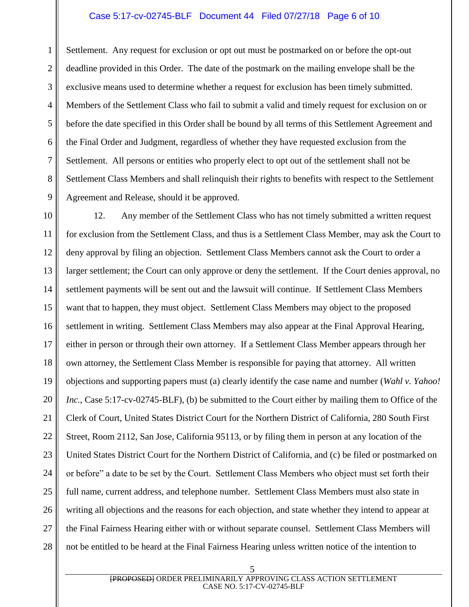#### Case 5:17-cv-02745-BLF Document 44 Filed 07/27/18 Page 6 of 10

1 2 3 4 5 6 7 8 9 Settlement. Any request for exclusion or opt out must be postmarked on or before the opt-out deadline provided in this Order. The date of the postmark on the mailing envelope shall be the exclusive means used to determine whether a request for exclusion has been timely submitted. Members of the Settlement Class who fail to submit a valid and timely request for exclusion on or before the date specified in this Order shall be bound by all terms of this Settlement Agreement and the Final Order and Judgment, regardless of whether they have requested exclusion from the Settlement. All persons or entities who properly elect to opt out of the settlement shall not be Settlement Class Members and shall relinquish their rights to benefits with respect to the Settlement Agreement and Release, should it be approved.

10 11 12 13 14 15 16 17 18 19 20 21 22 23 24 25 26 27 28 12. Any member of the Settlement Class who has not timely submitted a written request for exclusion from the Settlement Class, and thus is a Settlement Class Member, may ask the Court to deny approval by filing an objection. Settlement Class Members cannot ask the Court to order a larger settlement; the Court can only approve or deny the settlement. If the Court denies approval, no settlement payments will be sent out and the lawsuit will continue. If Settlement Class Members want that to happen, they must object. Settlement Class Members may object to the proposed settlement in writing. Settlement Class Members may also appear at the Final Approval Hearing, either in person or through their own attorney. If a Settlement Class Member appears through her own attorney, the Settlement Class Member is responsible for paying that attorney. All written objections and supporting papers must (a) clearly identify the case name and number (*Wahl v. Yahoo! Inc.*, Case 5:17-cv-02745-BLF), (b) be submitted to the Court either by mailing them to Office of the Clerk of Court, United States District Court for the Northern District of California, 280 South First Street, Room 2112, San Jose, California 95113, or by filing them in person at any location of the United States District Court for the Northern District of California, and (c) be filed or postmarked on or before" a date to be set by the Court. Settlement Class Members who object must set forth their full name, current address, and telephone number. Settlement Class Members must also state in writing all objections and the reasons for each objection, and state whether they intend to appear at the Final Fairness Hearing either with or without separate counsel. Settlement Class Members will not be entitled to be heard at the Final Fairness Hearing unless written notice of the intention to

5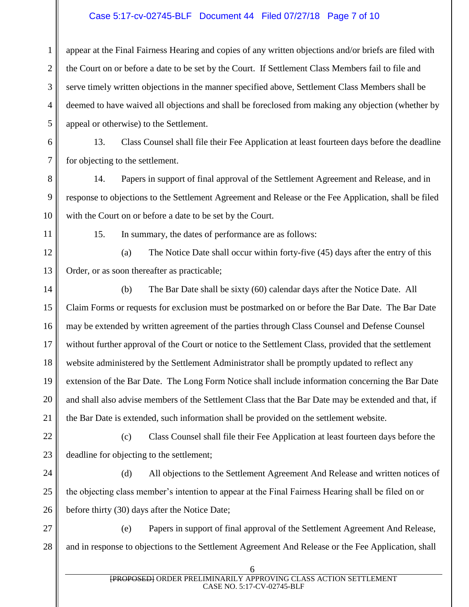# Case 5:17-cv-02745-BLF Document 44 Filed 07/27/18 Page 7 of 10

1 2 3 4 5 appear at the Final Fairness Hearing and copies of any written objections and/or briefs are filed with the Court on or before a date to be set by the Court. If Settlement Class Members fail to file and serve timely written objections in the manner specified above, Settlement Class Members shall be deemed to have waived all objections and shall be foreclosed from making any objection (whether by appeal or otherwise) to the Settlement.

13. Class Counsel shall file their Fee Application at least fourteen days before the deadline for objecting to the settlement.

14. Papers in support of final approval of the Settlement Agreement and Release, and in response to objections to the Settlement Agreement and Release or the Fee Application, shall be filed with the Court on or before a date to be set by the Court.

11

6

7

8

9

10

15. In summary, the dates of performance are as follows:

12 13 (a) The Notice Date shall occur within forty-five (45) days after the entry of this Order, or as soon thereafter as practicable;

14 15 16 17 18 19 20 21 (b) The Bar Date shall be sixty (60) calendar days after the Notice Date. All Claim Forms or requests for exclusion must be postmarked on or before the Bar Date. The Bar Date may be extended by written agreement of the parties through Class Counsel and Defense Counsel without further approval of the Court or notice to the Settlement Class, provided that the settlement website administered by the Settlement Administrator shall be promptly updated to reflect any extension of the Bar Date. The Long Form Notice shall include information concerning the Bar Date and shall also advise members of the Settlement Class that the Bar Date may be extended and that, if the Bar Date is extended, such information shall be provided on the settlement website.

22 23 (c) Class Counsel shall file their Fee Application at least fourteen days before the deadline for objecting to the settlement;

24 25 26 (d) All objections to the Settlement Agreement And Release and written notices of the objecting class member's intention to appear at the Final Fairness Hearing shall be filed on or before thirty (30) days after the Notice Date;

27 28 (e) Papers in support of final approval of the Settlement Agreement And Release, and in response to objections to the Settlement Agreement And Release or the Fee Application, shall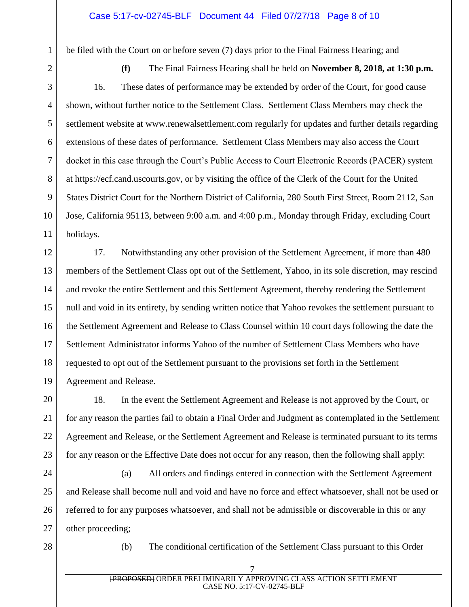### Case 5:17-cv-02745-BLF Document 44 Filed 07/27/18 Page 8 of 10

be filed with the Court on or before seven (7) days prior to the Final Fairness Hearing; and

1

2

3

4

5

6

7

8

9

10

11

**(f)** The Final Fairness Hearing shall be held on **November 8, 2018, at 1:30 p.m.** 16. These dates of performance may be extended by order of the Court, for good cause shown, without further notice to the Settlement Class. Settlement Class Members may check the settlement website at [www.renewalsettlement.com](http://www.renewalsettlement.com/) regularly for updates and further details regarding extensions of these dates of performance. Settlement Class Members may also access the Court docket in this case through the Court's Public Access to Court Electronic Records (PACER) system at https://ecf.cand.uscourts.gov, or by visiting the office of the Clerk of the Court for the United States District Court for the Northern District of California, 280 South First Street, Room 2112, San Jose, California 95113, between 9:00 a.m. and 4:00 p.m., Monday through Friday, excluding Court holidays.

12 13 14 15 16 17 18 19 17. Notwithstanding any other provision of the Settlement Agreement, if more than 480 members of the Settlement Class opt out of the Settlement, Yahoo, in its sole discretion, may rescind and revoke the entire Settlement and this Settlement Agreement, thereby rendering the Settlement null and void in its entirety, by sending written notice that Yahoo revokes the settlement pursuant to the Settlement Agreement and Release to Class Counsel within 10 court days following the date the Settlement Administrator informs Yahoo of the number of Settlement Class Members who have requested to opt out of the Settlement pursuant to the provisions set forth in the Settlement Agreement and Release.

20 21 22 23 18. In the event the Settlement Agreement and Release is not approved by the Court, or for any reason the parties fail to obtain a Final Order and Judgment as contemplated in the Settlement Agreement and Release, or the Settlement Agreement and Release is terminated pursuant to its terms for any reason or the Effective Date does not occur for any reason, then the following shall apply:

24 25 26 27 (a) All orders and findings entered in connection with the Settlement Agreement and Release shall become null and void and have no force and effect whatsoever, shall not be used or referred to for any purposes whatsoever, and shall not be admissible or discoverable in this or any other proceeding;

28

(b) The conditional certification of the Settlement Class pursuant to this Order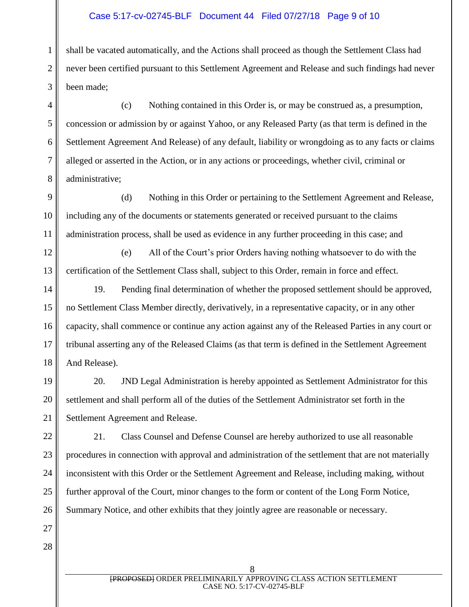# Case 5:17-cv-02745-BLF Document 44 Filed 07/27/18 Page 9 of 10

1 2 3 shall be vacated automatically, and the Actions shall proceed as though the Settlement Class had never been certified pursuant to this Settlement Agreement and Release and such findings had never been made;

(c) Nothing contained in this Order is, or may be construed as, a presumption, concession or admission by or against Yahoo, or any Released Party (as that term is defined in the Settlement Agreement And Release) of any default, liability or wrongdoing as to any facts or claims alleged or asserted in the Action, or in any actions or proceedings, whether civil, criminal or administrative;

9 10 11 (d) Nothing in this Order or pertaining to the Settlement Agreement and Release, including any of the documents or statements generated or received pursuant to the claims administration process, shall be used as evidence in any further proceeding in this case; and

(e) All of the Court's prior Orders having nothing whatsoever to do with the certification of the Settlement Class shall, subject to this Order, remain in force and effect.

14 15 16 17 18 19. Pending final determination of whether the proposed settlement should be approved, no Settlement Class Member directly, derivatively, in a representative capacity, or in any other capacity, shall commence or continue any action against any of the Released Parties in any court or tribunal asserting any of the Released Claims (as that term is defined in the Settlement Agreement And Release).

20. JND Legal Administration is hereby appointed as Settlement Administrator for this settlement and shall perform all of the duties of the Settlement Administrator set forth in the Settlement Agreement and Release.

22 23 24 25 26 21. Class Counsel and Defense Counsel are hereby authorized to use all reasonable procedures in connection with approval and administration of the settlement that are not materially inconsistent with this Order or the Settlement Agreement and Release, including making, without further approval of the Court, minor changes to the form or content of the Long Form Notice, Summary Notice, and other exhibits that they jointly agree are reasonable or necessary.

27 28

4

5

6

7

8

12

13

19

20

21